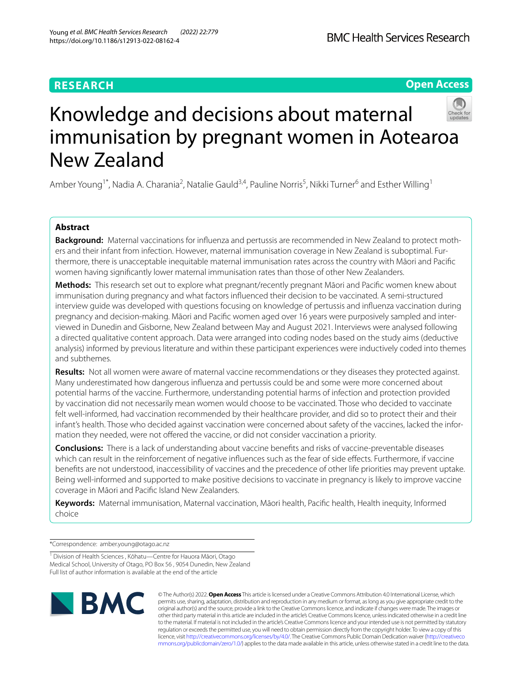# **RESEARCH**

# **Open Access**



# Knowledge and decisions about maternal immunisation by pregnant women in Aotearoa New Zealand

Amber Young<sup>1\*</sup>, Nadia A. Charania<sup>2</sup>, Natalie Gauld<sup>3,4</sup>, Pauline Norris<sup>5</sup>, Nikki Turner<sup>6</sup> and Esther Willing<sup>1</sup>

# **Abstract**

**Background:** Maternal vaccinations for infuenza and pertussis are recommended in New Zealand to protect mothers and their infant from infection. However, maternal immunisation coverage in New Zealand is suboptimal. Furthermore, there is unacceptable inequitable maternal immunisation rates across the country with Māori and Pacifc women having signifcantly lower maternal immunisation rates than those of other New Zealanders.

**Methods:** This research set out to explore what pregnant/recently pregnant Māori and Pacifc women knew about immunisation during pregnancy and what factors infuenced their decision to be vaccinated. A semi-structured interview guide was developed with questions focusing on knowledge of pertussis and infuenza vaccination during pregnancy and decision-making. Māori and Pacifc women aged over 16 years were purposively sampled and interviewed in Dunedin and Gisborne, New Zealand between May and August 2021. Interviews were analysed following a directed qualitative content approach. Data were arranged into coding nodes based on the study aims (deductive analysis) informed by previous literature and within these participant experiences were inductively coded into themes and subthemes.

**Results:** Not all women were aware of maternal vaccine recommendations or they diseases they protected against. Many underestimated how dangerous infuenza and pertussis could be and some were more concerned about potential harms of the vaccine. Furthermore, understanding potential harms of infection and protection provided by vaccination did not necessarily mean women would choose to be vaccinated. Those who decided to vaccinate felt well-informed, had vaccination recommended by their healthcare provider, and did so to protect their and their infant's health. Those who decided against vaccination were concerned about safety of the vaccines, lacked the information they needed, were not offered the vaccine, or did not consider vaccination a priority.

**Conclusions:** There is a lack of understanding about vaccine benefts and risks of vaccine-preventable diseases which can result in the reinforcement of negative infuences such as the fear of side efects. Furthermore, if vaccine benefts are not understood, inaccessibility of vaccines and the precedence of other life priorities may prevent uptake. Being well-informed and supported to make positive decisions to vaccinate in pregnancy is likely to improve vaccine coverage in Māori and Pacifc Island New Zealanders.

**Keywords:** Maternal immunisation, Maternal vaccination, Māori health, Pacifc health, Health inequity, Informed choice

\*Correspondence: amber.young@otago.ac.nz

<sup>1</sup> Division of Health Sciences, Kōhatu—Centre for Hauora Māori, Otago Medical School, University of Otago, PO Box 56 , 9054 Dunedin, New Zealand Full list of author information is available at the end of the article



© The Author(s) 2022. **Open Access** This article is licensed under a Creative Commons Attribution 4.0 International License, which permits use, sharing, adaptation, distribution and reproduction in any medium or format, as long as you give appropriate credit to the original author(s) and the source, provide a link to the Creative Commons licence, and indicate if changes were made. The images or other third party material in this article are included in the article's Creative Commons licence, unless indicated otherwise in a credit line to the material. If material is not included in the article's Creative Commons licence and your intended use is not permitted by statutory regulation or exceeds the permitted use, you will need to obtain permission directly from the copyright holder. To view a copy of this licence, visit [http://creativecommons.org/licenses/by/4.0/.](http://creativecommons.org/licenses/by/4.0/) The Creative Commons Public Domain Dedication waiver ([http://creativeco](http://creativecommons.org/publicdomain/zero/1.0/) [mmons.org/publicdomain/zero/1.0/](http://creativecommons.org/publicdomain/zero/1.0/)) applies to the data made available in this article, unless otherwise stated in a credit line to the data.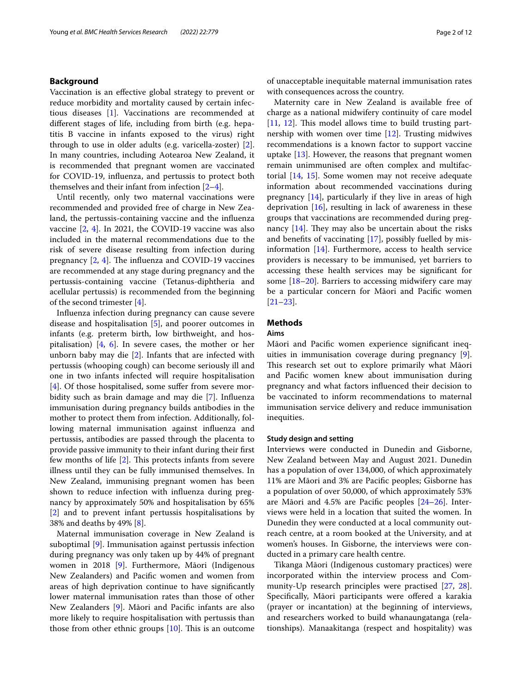# **Background**

Vaccination is an efective global strategy to prevent or reduce morbidity and mortality caused by certain infectious diseases [[1\]](#page-10-0). Vaccinations are recommended at diferent stages of life, including from birth (e.g. hepatitis B vaccine in infants exposed to the virus) right through to use in older adults (e.g. varicella-zoster) [\[2](#page-10-1)]. In many countries, including Aotearoa New Zealand, it is recommended that pregnant women are vaccinated for COVID-19, infuenza, and pertussis to protect both themselves and their infant from infection  $[2-4]$  $[2-4]$  $[2-4]$ .

Until recently, only two maternal vaccinations were recommended and provided free of charge in New Zealand, the pertussis-containing vaccine and the infuenza vaccine [[2,](#page-10-1) [4](#page-10-2)]. In 2021, the COVID-19 vaccine was also included in the maternal recommendations due to the risk of severe disease resulting from infection during pregnancy  $[2, 4]$  $[2, 4]$  $[2, 4]$  $[2, 4]$  $[2, 4]$ . The influenza and COVID-19 vaccines are recommended at any stage during pregnancy and the pertussis-containing vaccine (Tetanus-diphtheria and acellular pertussis) is recommended from the beginning of the second trimester [[4\]](#page-10-2).

Infuenza infection during pregnancy can cause severe disease and hospitalisation [\[5](#page-10-3)], and poorer outcomes in infants (e.g. preterm birth, low birthweight, and hospitalisation)  $[4, 6]$  $[4, 6]$  $[4, 6]$ . In severe cases, the mother or her unborn baby may die [\[2](#page-10-1)]. Infants that are infected with pertussis (whooping cough) can become seriously ill and one in two infants infected will require hospitalisation [[4\]](#page-10-2). Of those hospitalised, some suffer from severe morbidity such as brain damage and may die [\[7](#page-10-5)]. Infuenza immunisation during pregnancy builds antibodies in the mother to protect them from infection. Additionally, following maternal immunisation against infuenza and pertussis, antibodies are passed through the placenta to provide passive immunity to their infant during their frst few months of life  $[2]$  $[2]$ . This protects infants from severe illness until they can be fully immunised themselves. In New Zealand, immunising pregnant women has been shown to reduce infection with infuenza during pregnancy by approximately 50% and hospitalisation by 65% [[2\]](#page-10-1) and to prevent infant pertussis hospitalisations by 38% and deaths by 49% [\[8](#page-10-6)].

Maternal immunisation coverage in New Zealand is suboptimal [[9\]](#page-11-0). Immunisation against pertussis infection during pregnancy was only taken up by 44% of pregnant women in 2018 [[9\]](#page-11-0). Furthermore, Māori (Indigenous New Zealanders) and Pacifc women and women from areas of high deprivation continue to have signifcantly lower maternal immunisation rates than those of other New Zealanders [\[9](#page-11-0)]. Māori and Pacifc infants are also more likely to require hospitalisation with pertussis than those from other ethnic groups  $[10]$  $[10]$ . This is an outcome of unacceptable inequitable maternal immunisation rates with consequences across the country.

Maternity care in New Zealand is available free of charge as a national midwifery continuity of care model  $[11, 12]$  $[11, 12]$  $[11, 12]$  $[11, 12]$ . This model allows time to build trusting partnership with women over time [\[12](#page-11-3)]. Trusting midwives recommendations is a known factor to support vaccine uptake [[13\]](#page-11-4). However, the reasons that pregnant women remain unimmunised are often complex and multifactorial [[14,](#page-11-5) [15\]](#page-11-6). Some women may not receive adequate information about recommended vaccinations during pregnancy  $[14]$  $[14]$ , particularly if they live in areas of high deprivation  $[16]$  $[16]$  $[16]$ , resulting in lack of awareness in these groups that vaccinations are recommended during pregnancy  $[14]$ . They may also be uncertain about the risks and benefts of vaccinating [\[17\]](#page-11-8), possibly fuelled by misinformation [[14\]](#page-11-5). Furthermore, access to health service providers is necessary to be immunised, yet barriers to accessing these health services may be signifcant for some [[18–](#page-11-9)[20](#page-11-10)]. Barriers to accessing midwifery care may be a particular concern for Māori and Pacifc women [[21–](#page-11-11)[23\]](#page-11-12).

## **Methods**

# **Aims**

Māori and Pacifc women experience signifcant inequities in immunisation coverage during pregnancy [\[9](#page-11-0)]. This research set out to explore primarily what Māori and Pacifc women knew about immunisation during pregnancy and what factors infuenced their decision to be vaccinated to inform recommendations to maternal immunisation service delivery and reduce immunisation inequities.

## **Study design and setting**

Interviews were conducted in Dunedin and Gisborne, New Zealand between May and August 2021. Dunedin has a population of over 134,000, of which approximately 11% are Māori and 3% are Pacifc peoples; Gisborne has a population of over 50,000, of which approximately 53% are Māori and 4.5% are Pacifc peoples [[24–](#page-11-13)[26\]](#page-11-14). Interviews were held in a location that suited the women. In Dunedin they were conducted at a local community outreach centre, at a room booked at the University, and at women's houses. In Gisborne, the interviews were conducted in a primary care health centre.

Tikanga Māori (Indigenous customary practices) were incorporated within the interview process and Community-Up research principles were practised [[27,](#page-11-15) [28](#page-11-16)]. Specifically, Māori participants were offered a karakia (prayer or incantation) at the beginning of interviews, and researchers worked to build whanaungatanga (relationships). Manaakitanga (respect and hospitality) was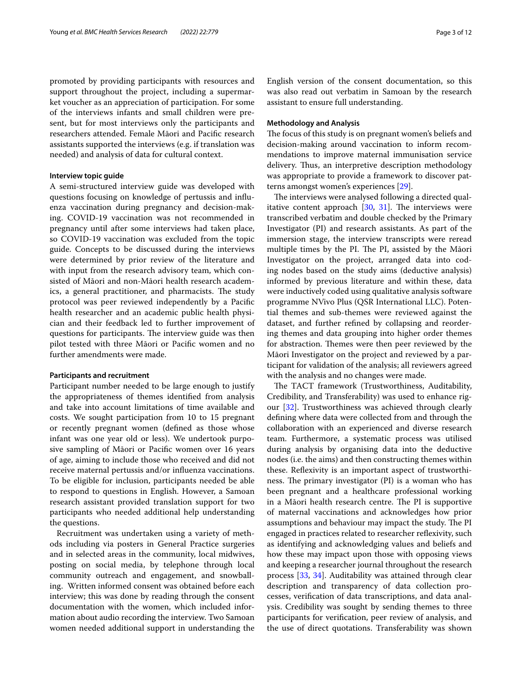promoted by providing participants with resources and support throughout the project, including a supermarket voucher as an appreciation of participation. For some of the interviews infants and small children were present, but for most interviews only the participants and researchers attended. Female Māori and Pacifc research assistants supported the interviews (e.g. if translation was needed) and analysis of data for cultural context.

# **Interview topic guide**

A semi-structured interview guide was developed with questions focusing on knowledge of pertussis and infuenza vaccination during pregnancy and decision-making. COVID-19 vaccination was not recommended in pregnancy until after some interviews had taken place, so COVID-19 vaccination was excluded from the topic guide. Concepts to be discussed during the interviews were determined by prior review of the literature and with input from the research advisory team, which consisted of Māori and non-Māori health research academics, a general practitioner, and pharmacists. The study protocol was peer reviewed independently by a Pacifc health researcher and an academic public health physician and their feedback led to further improvement of questions for participants. The interview guide was then pilot tested with three Māori or Pacifc women and no further amendments were made.

#### **Participants and recruitment**

Participant number needed to be large enough to justify the appropriateness of themes identifed from analysis and take into account limitations of time available and costs. We sought participation from 10 to 15 pregnant or recently pregnant women (defned as those whose infant was one year old or less). We undertook purposive sampling of Māori or Pacifc women over 16 years of age, aiming to include those who received and did not receive maternal pertussis and/or infuenza vaccinations. To be eligible for inclusion, participants needed be able to respond to questions in English. However, a Samoan research assistant provided translation support for two participants who needed additional help understanding the questions.

Recruitment was undertaken using a variety of methods including via posters in General Practice surgeries and in selected areas in the community, local midwives, posting on social media, by telephone through local community outreach and engagement, and snowballing. Written informed consent was obtained before each interview; this was done by reading through the consent documentation with the women, which included information about audio recording the interview. Two Samoan women needed additional support in understanding the English version of the consent documentation, so this was also read out verbatim in Samoan by the research assistant to ensure full understanding.

## **Methodology and Analysis**

The focus of this study is on pregnant women's beliefs and decision-making around vaccination to inform recommendations to improve maternal immunisation service delivery. Thus, an interpretive description methodology was appropriate to provide a framework to discover patterns amongst women's experiences [\[29\]](#page-11-17).

The interviews were analysed following a directed qualitative content approach  $[30, 31]$  $[30, 31]$  $[30, 31]$  $[30, 31]$  $[30, 31]$ . The interviews were transcribed verbatim and double checked by the Primary Investigator (PI) and research assistants. As part of the immersion stage, the interview transcripts were reread multiple times by the PI. The PI, assisted by the Māori Investigator on the project, arranged data into coding nodes based on the study aims (deductive analysis) informed by previous literature and within these, data were inductively coded using qualitative analysis software programme NVivo Plus (QSR International LLC). Potential themes and sub-themes were reviewed against the dataset, and further refned by collapsing and reordering themes and data grouping into higher order themes for abstraction. Themes were then peer reviewed by the Māori Investigator on the project and reviewed by a participant for validation of the analysis; all reviewers agreed with the analysis and no changes were made.

The TACT framework (Trustworthiness, Auditability, Credibility, and Transferability) was used to enhance rigour [\[32\]](#page-11-20). Trustworthiness was achieved through clearly defning where data were collected from and through the collaboration with an experienced and diverse research team. Furthermore, a systematic process was utilised during analysis by organising data into the deductive nodes (i.e. the aims) and then constructing themes within these. Refexivity is an important aspect of trustworthiness. The primary investigator (PI) is a woman who has been pregnant and a healthcare professional working in a Māori health research centre. The PI is supportive of maternal vaccinations and acknowledges how prior assumptions and behaviour may impact the study. The PI engaged in practices related to researcher refexivity, such as identifying and acknowledging values and beliefs and how these may impact upon those with opposing views and keeping a researcher journal throughout the research process [[33,](#page-11-21) [34](#page-11-22)]. Auditability was attained through clear description and transparency of data collection processes, verifcation of data transcriptions, and data analysis. Credibility was sought by sending themes to three participants for verifcation, peer review of analysis, and the use of direct quotations. Transferability was shown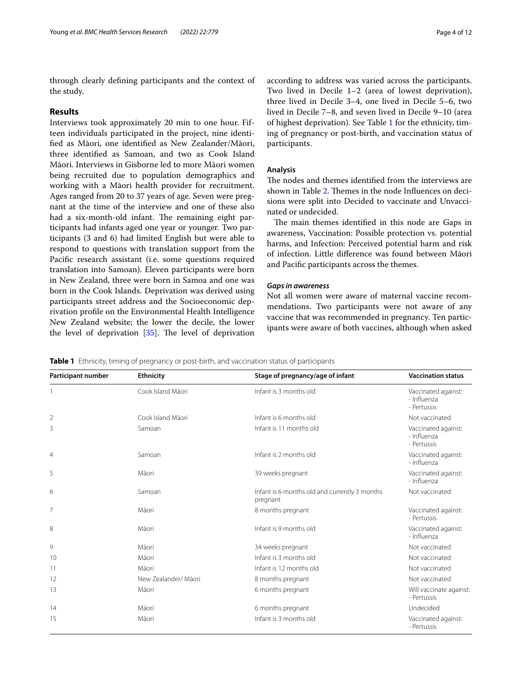through clearly defning participants and the context of the study.

# **Results**

Interviews took approximately 20 min to one hour. Fifteen individuals participated in the project, nine identifed as Māori, one identifed as New Zealander/Māori, three identifed as Samoan, and two as Cook Island Māori. Interviews in Gisborne led to more Māori women being recruited due to population demographics and working with a Māori health provider for recruitment. Ages ranged from 20 to 37 years of age. Seven were pregnant at the time of the interview and one of these also had a six-month-old infant. The remaining eight participants had infants aged one year or younger. Two participants (3 and 6) had limited English but were able to respond to questions with translation support from the Pacifc research assistant (i.e. some questions required translation into Samoan). Eleven participants were born in New Zealand, three were born in Samoa and one was born in the Cook Islands. Deprivation was derived using participants street address and the Socioeconomic deprivation profle on the Environmental Health Intelligence New Zealand website; the lower the decile, the lower the level of deprivation  $[35]$  $[35]$ . The level of deprivation according to address was varied across the participants. Two lived in Decile 1–2 (area of lowest deprivation), three lived in Decile 3–4, one lived in Decile 5–6, two lived in Decile 7–8, and seven lived in Decile 9–10 (area of highest deprivation). See Table [1](#page-3-0) for the ethnicity, timing of pregnancy or post-birth, and vaccination status of participants.

#### **Analysis**

The nodes and themes identified from the interviews are shown in Table [2.](#page-4-0) Themes in the node Influences on decisions were split into Decided to vaccinate and Unvaccinated or undecided.

The main themes identified in this node are Gaps in awareness, Vaccination: Possible protection vs. potential harms, and Infection: Perceived potential harm and risk of infection. Little diference was found between Māori and Pacifc participants across the themes.

# *Gaps in awareness*

Not all women were aware of maternal vaccine recommendations. Two participants were not aware of any vaccine that was recommended in pregnancy. Ten participants were aware of both vaccines, although when asked

<span id="page-3-0"></span>**Table 1** Ethnicity, timing of pregnancy or post-birth, and vaccination status of participants

| Participant number | <b>Ethnicity</b>     | Stage of pregnancy/age of infant                          | <b>Vaccination status</b>                         |
|--------------------|----------------------|-----------------------------------------------------------|---------------------------------------------------|
|                    | Cook Island Māori    | Infant is 3 months old                                    | Vaccinated against:<br>- Influenza<br>- Pertussis |
| $\overline{2}$     | Cook Island Māori    | Infant is 6 months old                                    | Not vaccinated                                    |
| 3                  | Samoan               | Infant is 11 months old                                   | Vaccinated against:<br>- Influenza<br>- Pertussis |
| $\overline{4}$     | Samoan               | Infant is 2 months old                                    | Vaccinated against:<br>- Influenza                |
| 5                  | Māori                | 39 weeks pregnant                                         | Vaccinated against:<br>- Influenza                |
| 6                  | Samoan               | Infant is 6 months old and currently 3 months<br>pregnant | Not vaccinated                                    |
| 7                  | Māori                | 8 months pregnant                                         | Vaccinated against:<br>- Pertussis                |
| 8                  | Māori                | Infant is 9 months old                                    | Vaccinated against:<br>- Influenza                |
| 9                  | Māori                | 34 weeks pregnant                                         | Not vaccinated                                    |
| 10                 | Māori                | Infant is 3 months old                                    | Not vaccinated                                    |
| 11                 | Māori                | Infant is 12 months old                                   | Not vaccinated                                    |
| 12                 | New Zealander/ Māori | 8 months pregnant                                         | Not vaccinated                                    |
| 13                 | Māori                | 6 months pregnant                                         | Will vaccinate against:<br>- Pertussis            |
| 14                 | Māori                | 6 months pregnant                                         | Undecided                                         |
| 15                 | Māori                | Infant is 3 months old                                    | Vaccinated against:<br>- Pertussis                |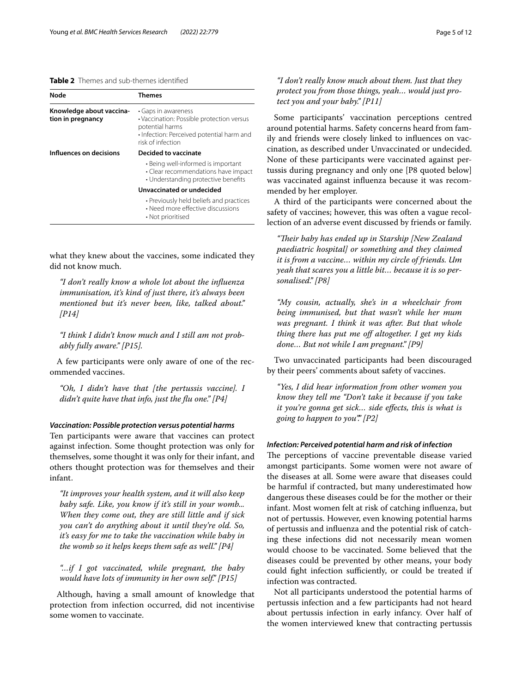# <span id="page-4-0"></span>**Table 2** Themes and sub-themes identifed

| Node                                          | Themes                                                                                                                                                |
|-----------------------------------------------|-------------------------------------------------------------------------------------------------------------------------------------------------------|
| Knowledge about vaccina-<br>tion in pregnancy | • Gaps in awareness<br>· Vaccination: Possible protection versus<br>potential harms<br>• Infection: Perceived potential harm and<br>risk of infection |
| Influences on decisions                       | Decided to vaccinate                                                                                                                                  |
|                                               | • Being well-informed is important<br>· Clear recommendations have impact<br>• Understanding protective benefits                                      |
|                                               | Unvaccinated or undecided                                                                                                                             |
|                                               | • Previously held beliefs and practices<br>• Need more effective discussions<br>• Not prioritised                                                     |

what they knew about the vaccines, some indicated they did not know much.

*"I don't really know a whole lot about the infuenza immunisation, it's kind of just there, it's always been mentioned but it's never been, like, talked about." [P14]*

*"I think I didn't know much and I still am not probably fully aware." [P15].*

A few participants were only aware of one of the recommended vaccines.

*"Oh, I didn't have that [the pertussis vaccine]. I didn't quite have that info, just the fu one." [P4]*

# *Vaccination: Possible protection versus potential harms*

Ten participants were aware that vaccines can protect against infection. Some thought protection was only for themselves, some thought it was only for their infant, and others thought protection was for themselves and their infant.

*"It improves your health system, and it will also keep baby safe. Like, you know if it's still in your womb... When they come out, they are still little and if sick you can't do anything about it until they're old. So, it's easy for me to take the vaccination while baby in the womb so it helps keeps them safe as well." [P4]*

*"…if I got vaccinated, while pregnant, the baby would have lots of immunity in her own self." [P15]*

Although, having a small amount of knowledge that protection from infection occurred, did not incentivise some women to vaccinate.

*"I don't really know much about them. Just that they protect you from those things, yeah… would just protect you and your baby." [P11]*

Some participants' vaccination perceptions centred around potential harms. Safety concerns heard from family and friends were closely linked to infuences on vaccination, as described under Unvaccinated or undecided. None of these participants were vaccinated against pertussis during pregnancy and only one [P8 quoted below] was vaccinated against infuenza because it was recommended by her employer.

A third of the participants were concerned about the safety of vaccines; however, this was often a vague recollection of an adverse event discussed by friends or family.

"Their baby has ended up in Starship [New Zealand *paediatric hospital] or something and they claimed it is from a vaccine… within my circle of friends. Um yeah that scares you a little bit… because it is so personalised." [P8]*

*"My cousin, actually, she's in a wheelchair from being immunised, but that wasn't while her mum was pregnant. I think it was after. But that whole thing there has put me of altogether. I get my kids done… But not while I am pregnant." [P9]*

Two unvaccinated participants had been discouraged by their peers' comments about safety of vaccines.

*"Yes, I did hear information from other women you know they tell me "Don't take it because if you take it you're gonna get sick… side efects, this is what is going to happen to you"." [P2]*

## *Infection: Perceived potential harm and risk of infection*

The perceptions of vaccine preventable disease varied amongst participants. Some women were not aware of the diseases at all. Some were aware that diseases could be harmful if contracted, but many underestimated how dangerous these diseases could be for the mother or their infant. Most women felt at risk of catching infuenza, but not of pertussis. However, even knowing potential harms of pertussis and infuenza and the potential risk of catching these infections did not necessarily mean women would choose to be vaccinated. Some believed that the diseases could be prevented by other means, your body could fight infection sufficiently, or could be treated if infection was contracted.

Not all participants understood the potential harms of pertussis infection and a few participants had not heard about pertussis infection in early infancy. Over half of the women interviewed knew that contracting pertussis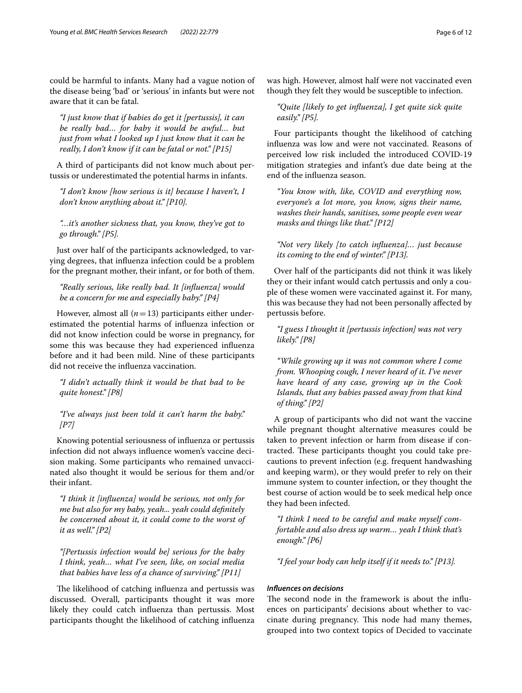could be harmful to infants. Many had a vague notion of the disease being 'bad' or 'serious' in infants but were not aware that it can be fatal.

*"I just know that if babies do get it [pertussis], it can be really bad… for baby it would be awful… but just from what I looked up I just know that it can be really, I don't know if it can be fatal or not." [P15]*

A third of participants did not know much about pertussis or underestimated the potential harms in infants.

*"I don't know [how serious is it] because I haven't, I don't know anything about it." [P10].*

*"…it's another sickness that, you know, they've got to go through." [P5].*

Just over half of the participants acknowledged, to varying degrees, that infuenza infection could be a problem for the pregnant mother, their infant, or for both of them.

*"Really serious, like really bad. It [infuenza] would be a concern for me and especially baby." [P4]*

However, almost all  $(n=13)$  participants either underestimated the potential harms of infuenza infection or did not know infection could be worse in pregnancy, for some this was because they had experienced infuenza before and it had been mild. Nine of these participants did not receive the infuenza vaccination.

*"I didn't actually think it would be that bad to be quite honest." [P8]*

*"I've always just been told it can't harm the baby." [P7]*

Knowing potential seriousness of infuenza or pertussis infection did not always infuence women's vaccine decision making. Some participants who remained unvaccinated also thought it would be serious for them and/or their infant.

*"I think it [infuenza] would be serious, not only for me but also for my baby, yeah... yeah could defnitely be concerned about it, it could come to the worst of it as well." [P2]*

*"[Pertussis infection would be] serious for the baby I think, yeah… what I've seen, like, on social media that babies have less of a chance of surviving." [P11]*

The likelihood of catching influenza and pertussis was discussed. Overall, participants thought it was more likely they could catch infuenza than pertussis. Most participants thought the likelihood of catching infuenza was high. However, almost half were not vaccinated even though they felt they would be susceptible to infection.

*"Quite [likely to get infuenza], I get quite sick quite easily." [P5].*

Four participants thought the likelihood of catching infuenza was low and were not vaccinated. Reasons of perceived low risk included the introduced COVID-19 mitigation strategies and infant's due date being at the end of the infuenza season.

*"You know with, like, COVID and everything now, everyone's a lot more, you know, signs their name, washes their hands, sanitises, some people even wear masks and things like that." [P12]*

*"Not very likely [to catch infuenza]… just because its coming to the end of winter." [P13].*

Over half of the participants did not think it was likely they or their infant would catch pertussis and only a couple of these women were vaccinated against it. For many, this was because they had not been personally afected by pertussis before.

*"I guess I thought it [pertussis infection] was not very likely." [P8]*

*"While growing up it was not common where I come from. Whooping cough, I never heard of it. I've never have heard of any case, growing up in the Cook Islands, that any babies passed away from that kind of thing." [P2]*

A group of participants who did not want the vaccine while pregnant thought alternative measures could be taken to prevent infection or harm from disease if contracted. These participants thought you could take precautions to prevent infection (e.g. frequent handwashing and keeping warm), or they would prefer to rely on their immune system to counter infection, or they thought the best course of action would be to seek medical help once they had been infected.

*"I think I need to be careful and make myself comfortable and also dress up warm… yeah I think that's enough." [P6]*

*"I feel your body can help itself if it needs to." [P13].*

#### *Infuences on decisions*

The second node in the framework is about the influences on participants' decisions about whether to vaccinate during pregnancy. This node had many themes, grouped into two context topics of Decided to vaccinate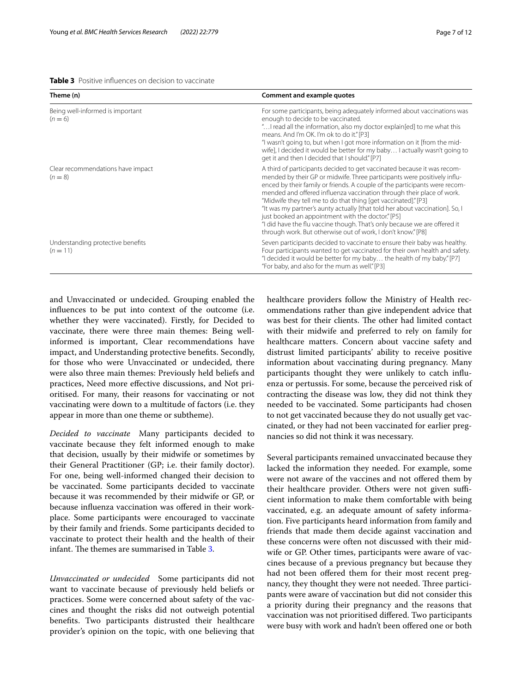<span id="page-6-0"></span>**Table 3** Positive infuences on decision to vaccinate

| Theme (n)                                       | <b>Comment and example quotes</b>                                                                                                                                                                                                                                                                                                                                                                                                                                                                                                                                                                                                                              |  |
|-------------------------------------------------|----------------------------------------------------------------------------------------------------------------------------------------------------------------------------------------------------------------------------------------------------------------------------------------------------------------------------------------------------------------------------------------------------------------------------------------------------------------------------------------------------------------------------------------------------------------------------------------------------------------------------------------------------------------|--|
| Being well-informed is important<br>$(n = 6)$   | For some participants, being adequately informed about vaccinations was<br>enough to decide to be vaccinated.<br>" I read all the information, also my doctor explain[ed] to me what this<br>means. And I'm OK. I'm ok to do it." [P3]<br>"I wasn't going to, but when I got more information on it [from the mid-<br>wife], I decided it would be better for my baby I actually wasn't going to<br>get it and then I decided that I should." [P7]                                                                                                                                                                                                             |  |
| Clear recommendations have impact<br>$(n = 8)$  | A third of participants decided to get vaccinated because it was recom-<br>mended by their GP or midwife. Three participants were positively influ-<br>enced by their family or friends. A couple of the participants were recom-<br>mended and offered influenza vaccination through their place of work.<br>"Midwife they tell me to do that thing [get vaccinated]." [P3]<br>"It was my partner's aunty actually [that told her about vaccination]. So, I<br>just booked an appointment with the doctor." [P5]<br>"I did have the flu vaccine though. That's only because we are offered it<br>through work. But otherwise out of work, I don't know." [P8] |  |
| Understanding protective benefits<br>$(n = 11)$ | Seven participants decided to vaccinate to ensure their baby was healthy.<br>Four participants wanted to get vaccinated for their own health and safety.<br>"I decided it would be better for my baby the health of my baby." [P7]<br>"For baby, and also for the mum as well." [P3]                                                                                                                                                                                                                                                                                                                                                                           |  |

and Unvaccinated or undecided. Grouping enabled the infuences to be put into context of the outcome (i.e. whether they were vaccinated). Firstly, for Decided to vaccinate, there were three main themes: Being wellinformed is important, Clear recommendations have impact, and Understanding protective benefts. Secondly, for those who were Unvaccinated or undecided, there were also three main themes: Previously held beliefs and practices, Need more efective discussions, and Not prioritised. For many, their reasons for vaccinating or not vaccinating were down to a multitude of factors (i.e. they appear in more than one theme or subtheme).

*Decided to vaccinate* Many participants decided to vaccinate because they felt informed enough to make that decision, usually by their midwife or sometimes by their General Practitioner (GP; i.e. their family doctor). For one, being well-informed changed their decision to be vaccinated. Some participants decided to vaccinate because it was recommended by their midwife or GP, or because influenza vaccination was offered in their workplace. Some participants were encouraged to vaccinate by their family and friends. Some participants decided to vaccinate to protect their health and the health of their infant. The themes are summarised in Table [3](#page-6-0).

*Unvaccinated or undecided* Some participants did not want to vaccinate because of previously held beliefs or practices. Some were concerned about safety of the vaccines and thought the risks did not outweigh potential benefts. Two participants distrusted their healthcare provider's opinion on the topic, with one believing that healthcare providers follow the Ministry of Health recommendations rather than give independent advice that was best for their clients. The other had limited contact with their midwife and preferred to rely on family for healthcare matters. Concern about vaccine safety and distrust limited participants' ability to receive positive information about vaccinating during pregnancy. Many participants thought they were unlikely to catch infuenza or pertussis. For some, because the perceived risk of contracting the disease was low, they did not think they needed to be vaccinated. Some participants had chosen to not get vaccinated because they do not usually get vaccinated, or they had not been vaccinated for earlier pregnancies so did not think it was necessary.

Several participants remained unvaccinated because they lacked the information they needed. For example, some were not aware of the vaccines and not offered them by their healthcare provider. Others were not given sufficient information to make them comfortable with being vaccinated, e.g. an adequate amount of safety information. Five participants heard information from family and friends that made them decide against vaccination and these concerns were often not discussed with their midwife or GP. Other times, participants were aware of vaccines because of a previous pregnancy but because they had not been offered them for their most recent pregnancy, they thought they were not needed. Three participants were aware of vaccination but did not consider this a priority during their pregnancy and the reasons that vaccination was not prioritised difered. Two participants were busy with work and hadn't been offered one or both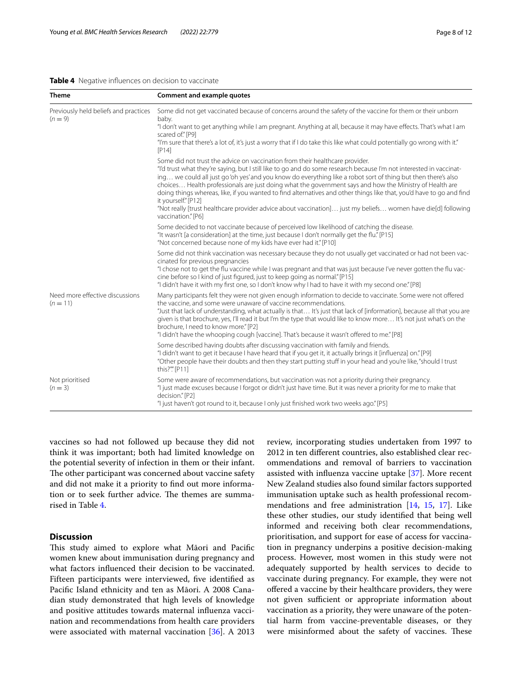#### <span id="page-7-0"></span>**Table 4** Negative infuences on decision to vaccinate

| <b>Theme</b>                                       | Comment and example quotes                                                                                                                                                                                                                                                                                                                                                                                                                                                                                                                                                                                                                                                                                           |
|----------------------------------------------------|----------------------------------------------------------------------------------------------------------------------------------------------------------------------------------------------------------------------------------------------------------------------------------------------------------------------------------------------------------------------------------------------------------------------------------------------------------------------------------------------------------------------------------------------------------------------------------------------------------------------------------------------------------------------------------------------------------------------|
| Previously held beliefs and practices<br>$(n = 9)$ | Some did not get vaccinated because of concerns around the safety of the vaccine for them or their unborn<br>baby.<br>"I don't want to get anything while I am pregnant. Anything at all, because it may have effects. That's what I am<br>scared of." [P9]<br>"I'm sure that there's a lot of, it's just a worry that if I do take this like what could potentially go wrong with it."<br>[P14]                                                                                                                                                                                                                                                                                                                     |
|                                                    | Some did not trust the advice on vaccination from their healthcare provider.<br>"I'd trust what they're saying, but I still like to go and do some research because I'm not interested in vaccinat-<br>ing we could all just go 'oh yes' and you know do everything like a robot sort of thing but then there's also<br>choices Health professionals are just doing what the government says and how the Ministry of Health are<br>doing things whereas, like, if you wanted to find alternatives and other things like that, you'd have to go and find<br>it yourself." [P12]<br>"Not really [trust healthcare provider advice about vaccination] just my beliefs women have die[d] following<br>vaccination." [P6] |
|                                                    | Some decided to not vaccinate because of perceived low likelihood of catching the disease.<br>"It wasn't [a consideration] at the time, just because I don't normally get the flu." [P15]<br>"Not concerned because none of my kids have ever had it." [P10]                                                                                                                                                                                                                                                                                                                                                                                                                                                         |
|                                                    | Some did not think vaccination was necessary because they do not usually get vaccinated or had not been vac-<br>cinated for previous pregnancies<br>"I chose not to get the flu vaccine while I was pregnant and that was just because I've never gotten the flu vac-<br>cine before so I kind of just figured, just to keep going as normal." [P15]<br>"I didn't have it with my first one, so I don't know why I had to have it with my second one." [P8]                                                                                                                                                                                                                                                          |
| Need more effective discussions<br>$(n = 11)$      | Many participants felt they were not given enough information to decide to vaccinate. Some were not offered<br>the vaccine, and some were unaware of vaccine recommendations.<br>"Just that lack of understanding, what actually is that It's just that lack of [information], because all that you are<br>given is that brochure, yes, I'll read it but I'm the type that would like to know more It's not just what's on the<br>brochure, I need to know more." [P2]<br>"I didn't have the whooping cough [vaccine]. That's because it wasn't offered to me." [P8]                                                                                                                                                 |
|                                                    | Some described having doubts after discussing vaccination with family and friends.<br>"I didn't want to get it because I have heard that if you get it, it actually brings it [influenza] on." [P9]<br>"Other people have their doubts and then they start putting stuff in your head and you're like, "should I trust<br>this?"" [P11]                                                                                                                                                                                                                                                                                                                                                                              |
| Not prioritised<br>$(n = 3)$                       | Some were aware of recommendations, but vaccination was not a priority during their pregnancy.<br>"I just made excuses because I forgot or didn't just have time. But it was never a priority for me to make that<br>decision." [P2]<br>"I just haven't got round to it, because I only just finished work two weeks ago." [P5]                                                                                                                                                                                                                                                                                                                                                                                      |

vaccines so had not followed up because they did not think it was important; both had limited knowledge on the potential severity of infection in them or their infant. The other participant was concerned about vaccine safety and did not make it a priority to fnd out more information or to seek further advice. The themes are summarised in Table [4](#page-7-0).

# **Discussion**

This study aimed to explore what Māori and Pacific women knew about immunisation during pregnancy and what factors infuenced their decision to be vaccinated. Fifteen participants were interviewed, fve identifed as Pacifc Island ethnicity and ten as Māori. A 2008 Canadian study demonstrated that high levels of knowledge and positive attitudes towards maternal infuenza vaccination and recommendations from health care providers were associated with maternal vaccination [\[36](#page-11-24)]. A 2013 review, incorporating studies undertaken from 1997 to 2012 in ten diferent countries, also established clear recommendations and removal of barriers to vaccination assisted with infuenza vaccine uptake [\[37\]](#page-11-25). More recent New Zealand studies also found similar factors supported immunisation uptake such as health professional recommendations and free administration [[14,](#page-11-5) [15,](#page-11-6) [17\]](#page-11-8). Like these other studies, our study identifed that being well informed and receiving both clear recommendations, prioritisation, and support for ease of access for vaccination in pregnancy underpins a positive decision-making process. However, most women in this study were not adequately supported by health services to decide to vaccinate during pregnancy. For example, they were not ofered a vaccine by their healthcare providers, they were not given sufficient or appropriate information about vaccination as a priority, they were unaware of the potential harm from vaccine-preventable diseases, or they were misinformed about the safety of vaccines. These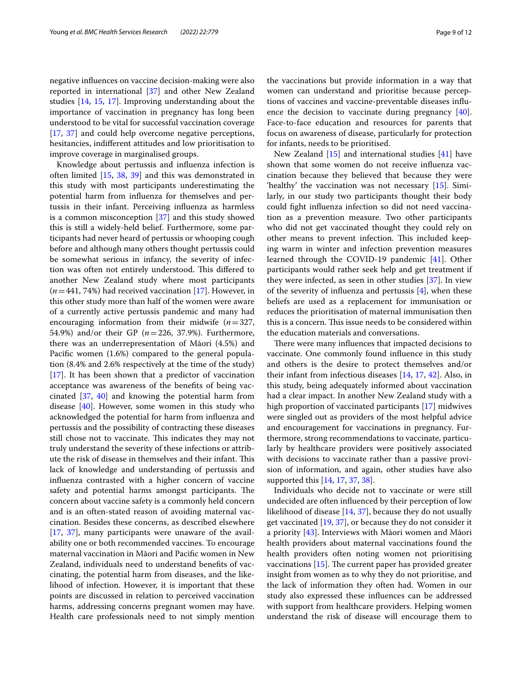negative infuences on vaccine decision-making were also reported in international [[37\]](#page-11-25) and other New Zealand studies [[14,](#page-11-5) [15](#page-11-6), [17\]](#page-11-8). Improving understanding about the importance of vaccination in pregnancy has long been understood to be vital for successful vaccination coverage [[17,](#page-11-8) [37](#page-11-25)] and could help overcome negative perceptions, hesitancies, indiferent attitudes and low prioritisation to improve coverage in marginalised groups.

Knowledge about pertussis and infuenza infection is often limited [[15](#page-11-6), [38](#page-11-26), [39\]](#page-11-27) and this was demonstrated in this study with most participants underestimating the potential harm from infuenza for themselves and pertussis in their infant. Perceiving infuenza as harmless is a common misconception [[37\]](#page-11-25) and this study showed this is still a widely-held belief. Furthermore, some participants had never heard of pertussis or whooping cough before and although many others thought pertussis could be somewhat serious in infancy, the severity of infection was often not entirely understood. This differed to another New Zealand study where most participants (*n*=441, 74%) had received vaccination [[17\]](#page-11-8). However, in this other study more than half of the women were aware of a currently active pertussis pandemic and many had encouraging information from their midwife (*n*=327, 54.9%) and/or their GP (*n*=226, 37.9%). Furthermore, there was an underrepresentation of Māori (4.5%) and Pacifc women (1.6%) compared to the general population (8.4% and 2.6% respectively at the time of the study) [[17\]](#page-11-8). It has been shown that a predictor of vaccination acceptance was awareness of the benefts of being vaccinated [\[37,](#page-11-25) [40](#page-11-28)] and knowing the potential harm from disease [\[40](#page-11-28)]. However, some women in this study who acknowledged the potential for harm from infuenza and pertussis and the possibility of contracting these diseases still chose not to vaccinate. This indicates they may not truly understand the severity of these infections or attribute the risk of disease in themselves and their infant. This lack of knowledge and understanding of pertussis and infuenza contrasted with a higher concern of vaccine safety and potential harms amongst participants. The concern about vaccine safety is a commonly held concern and is an often-stated reason of avoiding maternal vaccination. Besides these concerns, as described elsewhere [[17,](#page-11-8) [37](#page-11-25)], many participants were unaware of the availability one or both recommended vaccines. To encourage maternal vaccination in Māori and Pacifc women in New Zealand, individuals need to understand benefts of vaccinating, the potential harm from diseases, and the likelihood of infection. However, it is important that these points are discussed in relation to perceived vaccination harms, addressing concerns pregnant women may have. Health care professionals need to not simply mention the vaccinations but provide information in a way that women can understand and prioritise because perceptions of vaccines and vaccine-preventable diseases infuence the decision to vaccinate during pregnancy  $[40]$  $[40]$ . Face-to-face education and resources for parents that focus on awareness of disease, particularly for protection for infants, needs to be prioritised.

New Zealand [[15](#page-11-6)] and international studies [\[41\]](#page-11-29) have shown that some women do not receive infuenza vaccination because they believed that because they were 'healthy' the vaccination was not necessary [[15\]](#page-11-6). Similarly, in our study two participants thought their body could fght infuenza infection so did not need vaccination as a prevention measure. Two other participants who did not get vaccinated thought they could rely on other means to prevent infection. This included keeping warm in winter and infection prevention measures learned through the COVID-19 pandemic [[41\]](#page-11-29). Other participants would rather seek help and get treatment if they were infected, as seen in other studies [[37\]](#page-11-25). In view of the severity of influenza and pertussis  $[4]$  $[4]$ , when these beliefs are used as a replacement for immunisation or reduces the prioritisation of maternal immunisation then this is a concern. This issue needs to be considered within the education materials and conversations.

There were many influences that impacted decisions to vaccinate. One commonly found infuence in this study and others is the desire to protect themselves and/or their infant from infectious diseases [\[14,](#page-11-5) [17,](#page-11-8) [42\]](#page-11-30). Also, in this study, being adequately informed about vaccination had a clear impact. In another New Zealand study with a high proportion of vaccinated participants [\[17](#page-11-8)] midwives were singled out as providers of the most helpful advice and encouragement for vaccinations in pregnancy. Furthermore, strong recommendations to vaccinate, particularly by healthcare providers were positively associated with decisions to vaccinate rather than a passive provision of information, and again, other studies have also supported this [\[14](#page-11-5), [17,](#page-11-8) [37](#page-11-25), [38](#page-11-26)].

Individuals who decide not to vaccinate or were still undecided are often infuenced by their perception of low likelihood of disease [\[14](#page-11-5), [37\]](#page-11-25), because they do not usually get vaccinated [[19](#page-11-31), [37\]](#page-11-25), or because they do not consider it a priority [\[43\]](#page-11-32). Interviews with Māori women and Māori health providers about maternal vaccinations found the health providers often noting women not prioritising vaccinations  $[15]$  $[15]$ . The current paper has provided greater insight from women as to why they do not prioritise, and the lack of information they often had. Women in our study also expressed these infuences can be addressed with support from healthcare providers. Helping women understand the risk of disease will encourage them to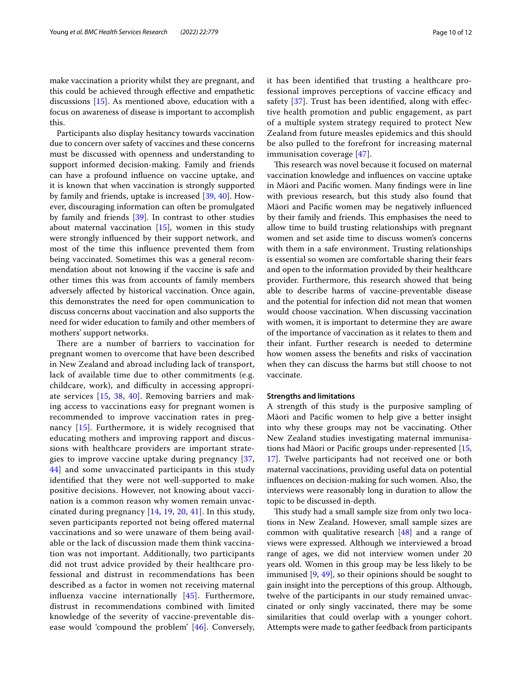make vaccination a priority whilst they are pregnant, and this could be achieved through efective and empathetic discussions [[15\]](#page-11-6). As mentioned above, education with a focus on awareness of disease is important to accomplish this.

Participants also display hesitancy towards vaccination due to concern over safety of vaccines and these concerns must be discussed with openness and understanding to support informed decision-making. Family and friends can have a profound infuence on vaccine uptake, and it is known that when vaccination is strongly supported by family and friends, uptake is increased [\[39](#page-11-27), [40](#page-11-28)]. However, discouraging information can often be promulgated by family and friends [\[39](#page-11-27)]. In contrast to other studies about maternal vaccination  $[15]$  $[15]$ , women in this study were strongly infuenced by their support network, and most of the time this infuence prevented them from being vaccinated. Sometimes this was a general recommendation about not knowing if the vaccine is safe and other times this was from accounts of family members adversely afected by historical vaccination. Once again, this demonstrates the need for open communication to discuss concerns about vaccination and also supports the need for wider education to family and other members of mothers' support networks.

There are a number of barriers to vaccination for pregnant women to overcome that have been described in New Zealand and abroad including lack of transport, lack of available time due to other commitments (e.g. childcare, work), and difficulty in accessing appropriate services [[15,](#page-11-6) [38](#page-11-26), [40\]](#page-11-28). Removing barriers and making access to vaccinations easy for pregnant women is recommended to improve vaccination rates in pregnancy [[15\]](#page-11-6). Furthermore, it is widely recognised that educating mothers and improving rapport and discussions with healthcare providers are important strategies to improve vaccine uptake during pregnancy [\[37](#page-11-25), [44\]](#page-11-33) and some unvaccinated participants in this study identifed that they were not well-supported to make positive decisions. However, not knowing about vaccination is a common reason why women remain unvaccinated during pregnancy [\[14,](#page-11-5) [19,](#page-11-31) [20](#page-11-10), [41](#page-11-29)]. In this study, seven participants reported not being ofered maternal vaccinations and so were unaware of them being available or the lack of discussion made them think vaccination was not important. Additionally, two participants did not trust advice provided by their healthcare professional and distrust in recommendations has been described as a factor in women not receiving maternal infuenza vaccine internationally [[45](#page-11-34)]. Furthermore, distrust in recommendations combined with limited knowledge of the severity of vaccine-preventable disease would 'compound the problem' [\[46](#page-11-35)]. Conversely, it has been identifed that trusting a healthcare professional improves perceptions of vaccine efficacy and safety [\[37\]](#page-11-25). Trust has been identified, along with effective health promotion and public engagement, as part of a multiple system strategy required to protect New Zealand from future measles epidemics and this should be also pulled to the forefront for increasing maternal immunisation coverage [[47\]](#page-11-36).

This research was novel because it focused on maternal vaccination knowledge and infuences on vaccine uptake in Māori and Pacifc women. Many fndings were in line with previous research, but this study also found that Māori and Pacifc women may be negatively infuenced by their family and friends. This emphasises the need to allow time to build trusting relationships with pregnant women and set aside time to discuss women's concerns with them in a safe environment. Trusting relationships is essential so women are comfortable sharing their fears and open to the information provided by their healthcare provider. Furthermore, this research showed that being able to describe harms of vaccine-preventable disease and the potential for infection did not mean that women would choose vaccination. When discussing vaccination with women, it is important to determine they are aware of the importance of vaccination as it relates to them and their infant. Further research is needed to determine how women assess the benefts and risks of vaccination when they can discuss the harms but still choose to not vaccinate.

#### **Strengths and limitations**

A strength of this study is the purposive sampling of Māori and Pacifc women to help give a better insight into why these groups may not be vaccinating. Other New Zealand studies investigating maternal immunisations had Māori or Pacifc groups under-represented [[15](#page-11-6), [17\]](#page-11-8). Twelve participants had not received one or both maternal vaccinations, providing useful data on potential infuences on decision-making for such women. Also, the interviews were reasonably long in duration to allow the topic to be discussed in-depth.

This study had a small sample size from only two locations in New Zealand. However, small sample sizes are common with qualitative research [[48](#page-11-37)] and a range of views were expressed. Although we interviewed a broad range of ages, we did not interview women under 20 years old. Women in this group may be less likely to be immunised [[9,](#page-11-0) [49\]](#page-11-38), so their opinions should be sought to gain insight into the perceptions of this group. Although, twelve of the participants in our study remained unvaccinated or only singly vaccinated, there may be some similarities that could overlap with a younger cohort. Attempts were made to gather feedback from participants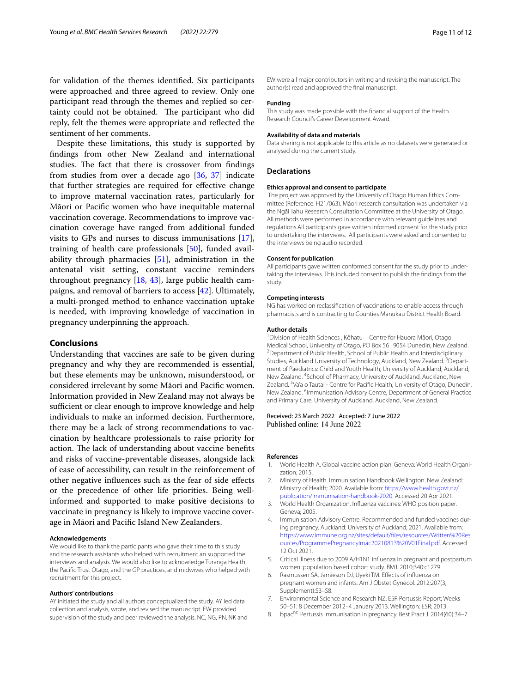for validation of the themes identifed. Six participants were approached and three agreed to review. Only one participant read through the themes and replied so certainty could not be obtained. The participant who did reply, felt the themes were appropriate and refected the sentiment of her comments.

Despite these limitations, this study is supported by fndings from other New Zealand and international studies. The fact that there is crossover from findings from studies from over a decade ago [\[36](#page-11-24), [37](#page-11-25)] indicate that further strategies are required for efective change to improve maternal vaccination rates, particularly for Māori or Pacifc women who have inequitable maternal vaccination coverage. Recommendations to improve vaccination coverage have ranged from additional funded visits to GPs and nurses to discuss immunisations [\[17](#page-11-8)], training of health care professionals [\[50\]](#page-11-39), funded availability through pharmacies [\[51](#page-11-40)], administration in the antenatal visit setting, constant vaccine reminders throughout pregnancy [[18,](#page-11-9) [43\]](#page-11-32), large public health campaigns, and removal of barriers to access [\[42](#page-11-30)]. Ultimately, a multi-pronged method to enhance vaccination uptake is needed, with improving knowledge of vaccination in pregnancy underpinning the approach.

# **Conclusions**

Understanding that vaccines are safe to be given during pregnancy and why they are recommended is essential, but these elements may be unknown, misunderstood, or considered irrelevant by some Māori and Pacifc women. Information provided in New Zealand may not always be sufficient or clear enough to improve knowledge and help individuals to make an informed decision. Furthermore, there may be a lack of strong recommendations to vaccination by healthcare professionals to raise priority for action. The lack of understanding about vaccine benefits and risks of vaccine-preventable diseases, alongside lack of ease of accessibility, can result in the reinforcement of other negative infuences such as the fear of side efects or the precedence of other life priorities. Being wellinformed and supported to make positive decisions to vaccinate in pregnancy is likely to improve vaccine coverage in Māori and Pacifc Island New Zealanders.

#### **Acknowledgements**

We would like to thank the participants who gave their time to this study and the research assistants who helped with recruitment an supported the interviews and analysis. We would also like to acknowledge Turanga Health, the Pacifc Trust Otago, and the GP practices, and midwives who helped with recruitment for this project.

#### **Authors' contributions**

AY initiated the study and all authors conceptualized the study. AY led data collection and analysis, wrote, and revised the manuscript. EW provided supervision of the study and peer reviewed the analysis. NC, NG, PN, NK and EW were all major contributors in writing and revising the manuscript. The author(s) read and approved the fnal manuscript.

#### **Funding**

This study was made possible with the fnancial support of the Health Research Council's Career Development Award.

#### **Availability of data and materials**

Data sharing is not applicable to this article as no datasets were generated or analysed during the current study.

# **Declarations**

#### **Ethics approval and consent to participate**

 The project was approved by the University of Otago Human Ethics Committee (Reference: H21/063). Māori research consultation was undertaken via the Ngāi Tahu Research Consultation Committee at the University of Otago. All methods were performed in accordance with relevant guidelines and regulations.All participants gave written informed consent for the study prior to undertaking the interviews. All participants were asked and consented to the interviews being audio recorded.

#### **Consent for publication**

All participants gave written conformed consent for the study prior to undertaking the interviews. This included consent to publish the fndings from the study.

#### **Competing interests**

NG has worked on reclassifcation of vaccinations to enable access through pharmacists and is contracting to Counties Manukau District Health Board.

#### **Author details**

<sup>1</sup> Division of Health Sciences, Kōhatu-Centre for Hauora Māori, Otago Medical School, University of Otago, PO Box 56 , 9054 Dunedin, New Zealand. 2 <sup>2</sup> Department of Public Health, School of Public Health and Interdisciplinary Studies, Auckland University of Technology, Auckland, New Zealand. <sup>3</sup> Department of Paediatrics: Child and Youth Health, University of Auckland, Auckland, New Zealand. <sup>4</sup> School of Pharmacy, University of Auckland, Auckland, New Zealand. <sup>5</sup>Va'a o Tautai - Centre for Pacific Health, University of Otago, Dunedin, New Zealand. <sup>6</sup>Immunisation Advisory Centre, Department of General Practice and Primary Care, University of Auckland, Auckland, New Zealand.

#### Received: 23 March 2022 Accepted: 7 June 2022 Published online: 14 June 2022

#### **References**

- <span id="page-10-0"></span>1. World Health A. Global vaccine action plan. Geneva: World Health Organization; 2015.
- <span id="page-10-1"></span>2. Ministry of Health. Immunisation Handbook Wellington. New Zealand: Ministry of Health; 2020. Available from: [https://www.health.govt.nz/](https://www.health.govt.nz/publication/immunisation-handbook-2020) [publication/immunisation-handbook-2020.](https://www.health.govt.nz/publication/immunisation-handbook-2020) Accessed 20 Apr 2021.
- 3. World Health Organization. Infuenza vaccines: WHO position paper. Geneva; 2005.
- <span id="page-10-2"></span>4. Immunisation Advisory Centre. Recommended and funded vaccines during pregnancy. Auckland: University of Auckland; 2021. Available from: [https://www.immune.org.nz/sites/default/fles/resources/Written%20Res](https://www.immune.org.nz/sites/default/files/resources/Written%20Resources/ProgrammePregnancyImac20210813%20V01Final.pdf) [ources/ProgrammePregnancyImac20210813%20V01Final.pdf](https://www.immune.org.nz/sites/default/files/resources/Written%20Resources/ProgrammePregnancyImac20210813%20V01Final.pdf). Accessed 12 Oct 2021.
- <span id="page-10-3"></span>5. Critical illness due to 2009 A/H1N1 infuenza in pregnant and postpartum women: population based cohort study. BMJ. 2010;340:c1279.
- <span id="page-10-4"></span>Rasmussen SA, Jamieson DJ, Uyeki TM. Effects of influenza on pregnant women and infants. Am J Obstet Gynecol. 2012;207(3, Supplement):S3–S8.
- <span id="page-10-5"></span>7. Environmental Science and Research NZ. ESR Pertussis Report; Weeks 50–51: 8 December 2012–4 January 2013. Wellington: ESR; 2013.
- <span id="page-10-6"></span>8. bpac<sup>nz</sup>. Pertussis immunisation in pregnancy. Best Pract J. 2014(60):34-7.